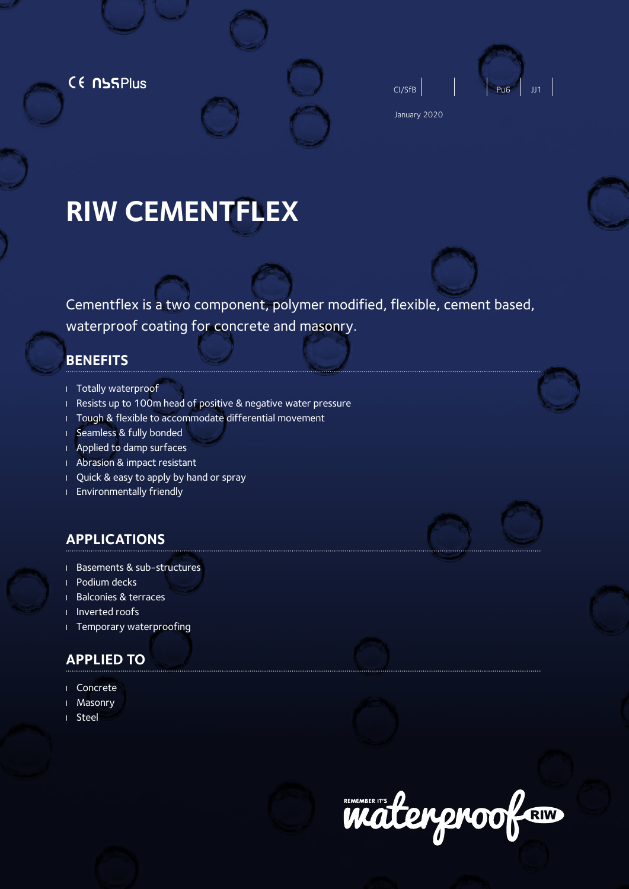CE NSSPlus





January 2020

# **RIW CEMENTFLEX**

Cementflex is a two component, polymer modified, flexible, cement based, waterproof coating for concrete and masonry.

# **BENEFITS**

- <sup>l</sup> Totally waterproof
- <sup>l</sup> Resists up to 100m head of positive & negative water pressure
- I Tough & flexible to accommodate differential movement
- <sup>l</sup> Seamless & fully bonded
- <sup>l</sup> Applied to damp surfaces
- <sup>l</sup> Abrasion & impact resistant
- <sup>l</sup> Quick & easy to apply by hand or spray
- <sup>l</sup> Environmentally friendly

# **APPLICATIONS**

- <sup>l</sup> Basements & sub-structures
- Podium decks
- <sup>l</sup> Balconies & terraces
- <sup>l</sup> Inverted roofs
- <sup>l</sup> Temporary waterproofing

# **APPLIED TO**

- <sup>l</sup> Concrete
- <sup>l</sup> Masonry
- <sup>l</sup> Steel







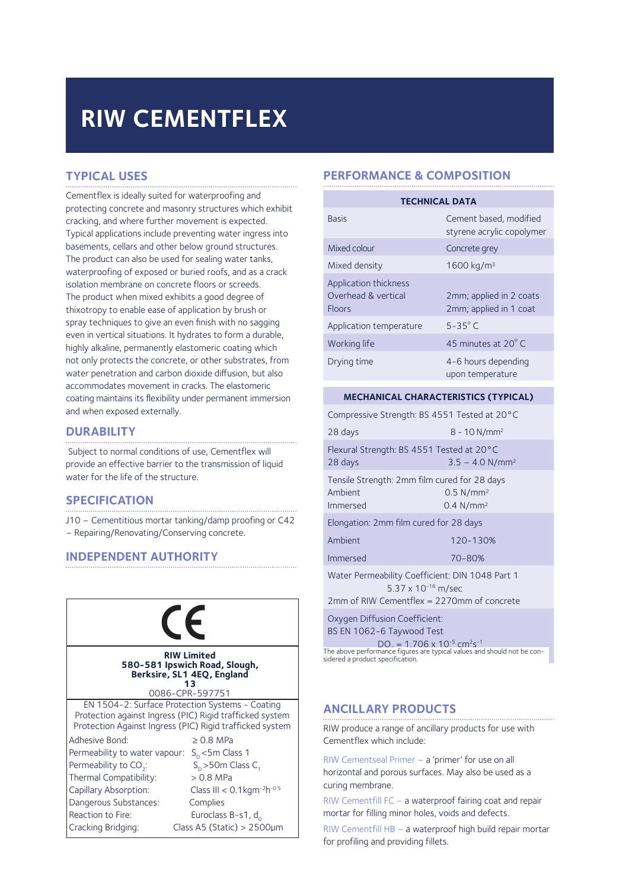# **RIW CEMENTFLEX**

# **TYPICAL USES**

Cementflex is ideally suited for waterproofing and protecting concrete and masonry structures which exhibit cracking, and where further movement is expected. Typical applications include preventing water ingress into basements, cellars and other below ground structures. The product can also be used for sealing water tanks, waterproofing of exposed or buried roofs, and as a crack isolation membrane on concrete floors or screeds. The product when mixed exhibits a good degree of thixotropy to enable ease of application by brush or spray techniques to give an even finish with no sagging even in vertical situations. It hydrates to form a durable, highly alkaline, permanently elastomeric coating which not only protects the concrete, or other substrates, from water penetration and carbon dioxide diffusion, but also accommodates movement in cracks. The elastomeric coating maintains its flexibility under permanent immersion and when exposed externally.

#### **DURABILITY**

 Subject to normal conditions of use, Cementflex will provide an effective barrier to the transmission of liquid water for the life of the structure.

## **SPECIFICATION**

J10 – Cementitious mortar tanking/damp proofing or C42 – Repairing/Renovating/Conserving concrete.

## **INDEPENDENT AUTHORITY**

| CE                                                                                                                                                                                                                                     |                                                                                                                                                                                                   |
|----------------------------------------------------------------------------------------------------------------------------------------------------------------------------------------------------------------------------------------|---------------------------------------------------------------------------------------------------------------------------------------------------------------------------------------------------|
|                                                                                                                                                                                                                                        | <b>RIW Limited</b><br>580-581 Ipswich Road, Slough,<br>Berksire, SL1 4EQ, England<br>1 २<br>0086-CPR-597751                                                                                       |
| EN 1504-2: Surface Protection Systems - Coating<br>Protection against Ingress (PIC) Rigid trafficked system<br>Protection Against Ingress (PIC) Rigid trafficked system                                                                |                                                                                                                                                                                                   |
| Adhesive Bond:<br>Permeability to water vapour: S <sub>n</sub> <5m Class 1<br>Permeability to CO <sub>2</sub> :<br>Thermal Compatibility:<br>Capillary Absorption:<br>Dangerous Substances:<br>Reaction to Fire:<br>Cracking Bridging: | $\geq$ 0.8 MPa<br>$S_n > 50$ m Class C <sub>1</sub><br>$> 0.8$ MPa<br>Class III < $0.1$ kgm <sup>-2</sup> h <sup>-0.5</sup><br>Complies<br>Euroclass B-s1, do<br>Class A5 (Static) > $2500 \mu m$ |

# **PERFORMANCE & COMPOSITION**

| <b>TECHNICAL DATA</b>                                         |                                                     |  |
|---------------------------------------------------------------|-----------------------------------------------------|--|
| <b>Basis</b>                                                  | Cement based, modified<br>styrene acrylic copolymer |  |
| Mixed colour                                                  | Concrete grey                                       |  |
| Mixed density                                                 | 1600 kg/m <sup>3</sup>                              |  |
| Application thickness<br>Overhead & vertical<br><b>Floors</b> | 2mm; applied in 2 coats<br>2mm; applied in 1 coat   |  |
| Application temperature                                       | $5-35^\circ$ C                                      |  |
| Working life                                                  | 45 minutes at 20°C                                  |  |
| Drying time                                                   | 4-6 hours depending<br>upon temperature             |  |

#### **MECHANICAL CHARACTERISTICS (TYPICAL)**

Compressive Strength: BS 4551 Tested at 20°C

| 28 days                                                                    | $8 - 10$ N/mm <sup>2</sup>                       |  |
|----------------------------------------------------------------------------|--------------------------------------------------|--|
| Flexural Strength: BS 4551 Tested at 20°C<br>28 days                       | $3.5 - 4.0 N/mm2$                                |  |
| Tensile Strength: 2mm film cured for 28 days<br>Ambient<br><b>Immersed</b> | $0.5$ N/mm <sup>2</sup><br>0.4 N/mm <sup>2</sup> |  |
| Elongation: 2mm film cured for 28 days                                     |                                                  |  |
| Ambient                                                                    | 120-130%                                         |  |
| <b>Immersed</b>                                                            | 70-80%                                           |  |
| Water Permeability Coefficient: DIN 1048 Part 1<br>5.37 x 10-16 m/sec      |                                                  |  |
| $2mm$ of PIW Comontflox – 2270mm of concroto                               |                                                  |  |

of RIW Cementflex =

Oxygen Diffusion Coefficient: BS EN 1062-6 Taywood Test

 $DO<sub>z</sub> = 1.706 \times 10^{-5} \text{ cm}^2 \text{s}^{-1}$ **RIW Limited** The above performance figures are typical values and should not be con-<br>**RIW Limited** Sloveh Sloveh sidered a product specification.

## **ANCILLARY PRODUCTS**

RIW produce a range of ancillary products for use with Cementflex which include:

RIW Cementseal Primer – a 'primer' for use on all horizontal and porous surfaces. May also be used as a curing membrane.

RIW Cementfill FC – a waterproof fairing coat and repair mortar for filling minor holes, voids and defects.

RIW Cementfill HB – a waterproof high build repair mortar for profiling and providing fillets.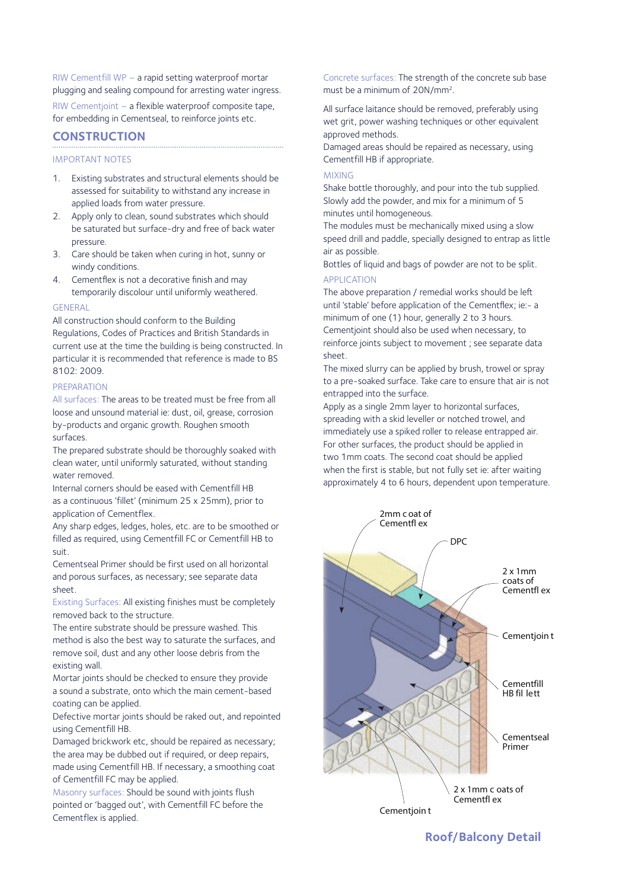RIW Cementfill WP – a rapid setting waterproof mortar plugging and sealing compound for arresting water ingress.

RIW Cementjoint – a flexible waterproof composite tape, for embedding in Cementseal, to reinforce joints etc.

# **CONSTRUCTION**

#### IMPORTANT NOTES

- 1. Existing substrates and structural elements should be assessed for suitability to withstand any increase in applied loads from water pressure.
- 2. Apply only to clean, sound substrates which should be saturated but surface-dry and free of back water pressure.
- 3. Care should be taken when curing in hot, sunny or windy conditions.
- 4. Cementflex is not a decorative finish and may temporarily discolour until uniformly weathered.

#### **GENERAL**

All construction should conform to the Building Regulations, Codes of Practices and British Standards in current use at the time the building is being constructed. In particular it is recommended that reference is made to BS 8102: 2009.

#### PREPARATION

All surfaces: The areas to be treated must be free from all loose and unsound material ie: dust, oil, grease, corrosion by-products and organic growth. Roughen smooth surfaces.

The prepared substrate should be thoroughly soaked with clean water, until uniformly saturated, without standing water removed.

Internal corners should be eased with Cementfill HB as a continuous 'fillet' (minimum 25 x 25mm), prior to application of Cementflex.

Any sharp edges, ledges, holes, etc. are to be smoothed or filled as required, using Cementfill FC or Cementfill HB to suit.

Cementseal Primer should be first used on all horizontal and porous surfaces, as necessary; see separate data sheet.

Existing Surfaces: All existing finishes must be completely removed back to the structure.

The entire substrate should be pressure washed. This method is also the best way to saturate the surfaces, and remove soil, dust and any other loose debris from the existing wall.

Mortar joints should be checked to ensure they provide a sound a substrate, onto which the main cement-based coating can be applied.

Defective mortar joints should be raked out, and repointed using Cementfill HB.

Damaged brickwork etc, should be repaired as necessary; the area may be dubbed out if required, or deep repairs, made using Cementfill HB. If necessary, a smoothing coat of Cementfill FC may be applied.

Masonry surfaces: Should be sound with joints flush pointed or 'bagged out', with Cementfill FC before the Cementflex is applied.

Concrete surfaces: The strength of the concrete sub base must be a minimum of 20N/mm2.

All surface laitance should be removed, preferably using wet grit, power washing techniques or other equivalent approved methods.

Damaged areas should be repaired as necessary, using Cementfill HB if appropriate.

#### MIXING

Shake bottle thoroughly, and pour into the tub supplied. Slowly add the powder, and mix for a minimum of 5 minutes until homogeneous.

The modules must be mechanically mixed using a slow speed drill and paddle, specially designed to entrap as little air as possible.

Bottles of liquid and bags of powder are not to be split. APPLICATION

The above preparation / remedial works should be left until 'stable' before application of the Cementflex; ie:- a minimum of one (1) hour, generally 2 to 3 hours. Cementjoint should also be used when necessary, to reinforce joints subject to movement ; see separate data sheet.

The mixed slurry can be applied by brush, trowel or spray to a pre-soaked surface. Take care to ensure that air is not entrapped into the surface.

Apply as a single 2mm layer to horizontal surfaces, spreading with a skid leveller or notched trowel, and immediately use a spiked roller to release entrapped air. For other surfaces, the product should be applied in two 1mm coats. The second coat should be applied when the first is stable, but not fully set ie: after waiting approximately 4 to 6 hours, dependent upon temperature.



# **Roof/Balcony Detail**